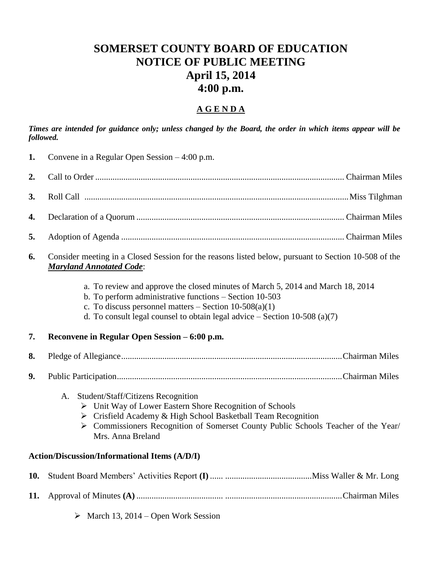# **SOMERSET COUNTY BOARD OF EDUCATION NOTICE OF PUBLIC MEETING April 15, 2014 4:00 p.m.**

### **A G E N D A**

*Times are intended for guidance only; unless changed by the Board, the order in which items appear will be followed.*

| 1.  | Convene in a Regular Open Session $-4:00$ p.m.                                                                                                                                                                                                                                         |  |  |  |  |  |
|-----|----------------------------------------------------------------------------------------------------------------------------------------------------------------------------------------------------------------------------------------------------------------------------------------|--|--|--|--|--|
| 2.  |                                                                                                                                                                                                                                                                                        |  |  |  |  |  |
| 3.  |                                                                                                                                                                                                                                                                                        |  |  |  |  |  |
| 4.  |                                                                                                                                                                                                                                                                                        |  |  |  |  |  |
| 5.  |                                                                                                                                                                                                                                                                                        |  |  |  |  |  |
| 6.  | Consider meeting in a Closed Session for the reasons listed below, pursuant to Section 10-508 of the<br><b>Maryland Annotated Code:</b>                                                                                                                                                |  |  |  |  |  |
|     | a. To review and approve the closed minutes of March 5, 2014 and March 18, 2014<br>b. To perform administrative functions - Section 10-503<br>c. To discuss personnel matters $-$ Section 10-508(a)(1)<br>d. To consult legal counsel to obtain legal advice $-$ Section 10-508 (a)(7) |  |  |  |  |  |
| 7.  | Reconvene in Regular Open Session – 6:00 p.m.                                                                                                                                                                                                                                          |  |  |  |  |  |
| 8.  |                                                                                                                                                                                                                                                                                        |  |  |  |  |  |
| 9.  |                                                                                                                                                                                                                                                                                        |  |  |  |  |  |
|     | Student/Staff/Citizens Recognition<br>A.<br>> Unit Way of Lower Eastern Shore Recognition of Schools<br>> Crisfield Academy & High School Basketball Team Recognition<br>> Commissioners Recognition of Somerset County Public Schools Teacher of the Year/<br>Mrs. Anna Breland       |  |  |  |  |  |
|     | <b>Action/Discussion/Informational Items (A/D/I)</b>                                                                                                                                                                                                                                   |  |  |  |  |  |
| 10. |                                                                                                                                                                                                                                                                                        |  |  |  |  |  |
| 11. |                                                                                                                                                                                                                                                                                        |  |  |  |  |  |
|     | $\triangleright$ March 13, 2014 – Open Work Session                                                                                                                                                                                                                                    |  |  |  |  |  |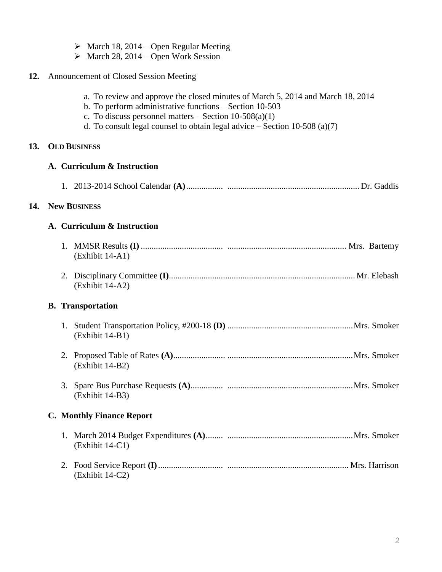|  |  |  |  |  |  | $\triangleright$ March 18, 2014 – Open Regular Meeting |
|--|--|--|--|--|--|--------------------------------------------------------|
|--|--|--|--|--|--|--------------------------------------------------------|

 $\triangleright$  March 28, 2014 – Open Work Session

## **12.** Announcement of Closed Session Meeting

|     | a. To review and approve the closed minutes of March 5, 2014 and March 18, 2014<br>b. To perform administrative functions $-$ Section 10-503<br>c. To discuss personnel matters $-$ Section 10-508(a)(1)<br>d. To consult legal counsel to obtain legal advice $-$ Section 10-508 (a)(7) |  |  |  |  |  |  |
|-----|------------------------------------------------------------------------------------------------------------------------------------------------------------------------------------------------------------------------------------------------------------------------------------------|--|--|--|--|--|--|
| 13. | <b>OLD BUSINESS</b>                                                                                                                                                                                                                                                                      |  |  |  |  |  |  |
|     | A. Curriculum & Instruction                                                                                                                                                                                                                                                              |  |  |  |  |  |  |
|     |                                                                                                                                                                                                                                                                                          |  |  |  |  |  |  |
| 14. | <b>New BUSINESS</b>                                                                                                                                                                                                                                                                      |  |  |  |  |  |  |
|     | A. Curriculum & Instruction                                                                                                                                                                                                                                                              |  |  |  |  |  |  |
|     | (Exhibit 14-A1)                                                                                                                                                                                                                                                                          |  |  |  |  |  |  |
|     | (Exhibit 14-A2)                                                                                                                                                                                                                                                                          |  |  |  |  |  |  |
|     | <b>B.</b> Transportation                                                                                                                                                                                                                                                                 |  |  |  |  |  |  |
|     | (Exhibit 14-B1)                                                                                                                                                                                                                                                                          |  |  |  |  |  |  |
|     | (Exhibit 14-B2)                                                                                                                                                                                                                                                                          |  |  |  |  |  |  |
|     | (Exhibit 14-B3)                                                                                                                                                                                                                                                                          |  |  |  |  |  |  |
|     | <b>C. Monthly Finance Report</b>                                                                                                                                                                                                                                                         |  |  |  |  |  |  |
|     | (Exhibit 14-C1)                                                                                                                                                                                                                                                                          |  |  |  |  |  |  |
|     | (Exhibit 14-C2)                                                                                                                                                                                                                                                                          |  |  |  |  |  |  |